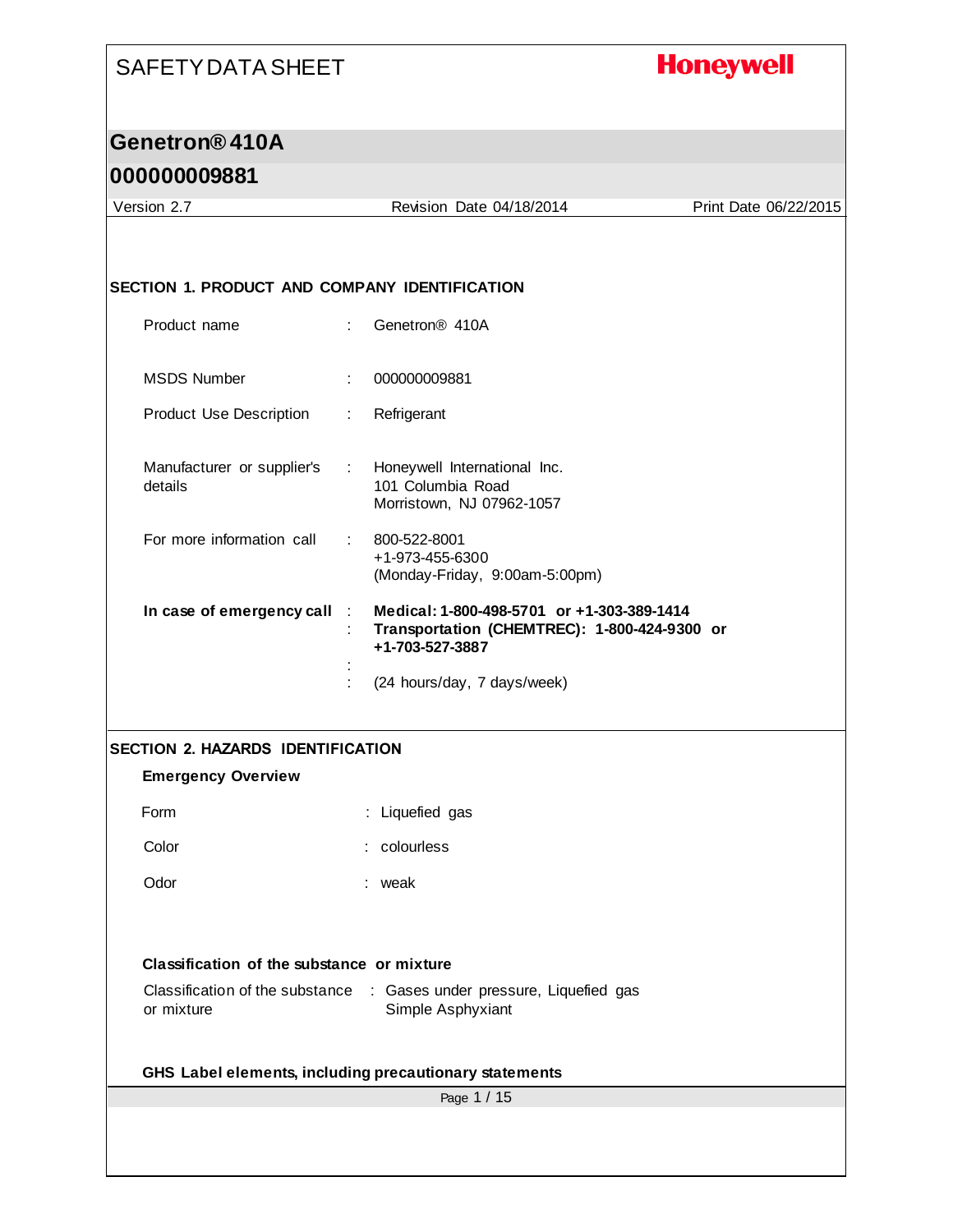#### **Honeywell**

#### **Genetron® 410A**

#### **000000009881**

Page 1 / 15 Version 2.7 Revision Date 04/18/2014 Print Date 06/22/2015 **SECTION 1. PRODUCT AND COMPANY IDENTIFICATION** Product name : Genetron® 410A MSDS Number : 000000009881 Product Use Description : Refrigerant Manufacturer or supplier's details : Honeywell International Inc. 101 Columbia Road Morristown, NJ 07962-1057 For more information call : 800-522-8001 +1-973-455-6300 (Monday-Friday, 9:00am-5:00pm) **In case of emergency call** : **Medical: 1-800-498-5701 or +1-303-389-1414** : **Transportation (CHEMTREC): 1-800-424-9300 or +1-703-527-3887** : : (24 hours/day, 7 days/week) **SECTION 2. HAZARDS IDENTIFICATION Emergency Overview** Form : Liquefied gas Color : colourless Odor : weak **Classification of the substance or mixture** Classification of the substance : Gases under pressure, Liquefied gas or mixture Simple Asphyxiant **GHS Label elements, including precautionary statements**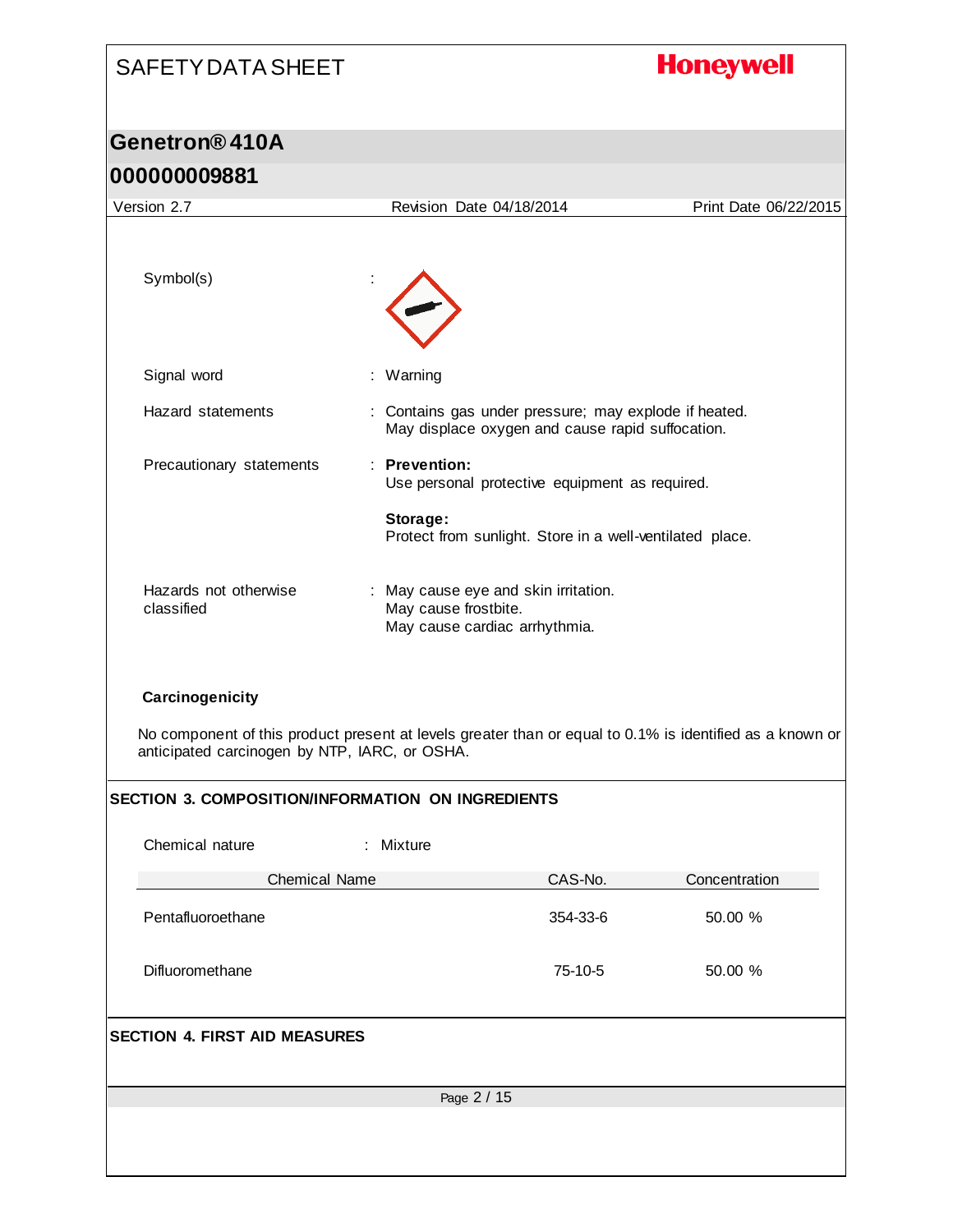# SAFETY DATA SHEET **Honeywell Genetron® 410A 000000009881** Version 2.7 Revision Date 04/18/2014 Print Date 06/22/2015 Symbol(s) : Signal word : Warning Hazard statements : Contains gas under pressure; may explode if heated. May displace oxygen and cause rapid suffocation. Precautionary statements : **Prevention:**  Use personal protective equipment as required. **Storage:**  Protect from sunlight. Store in a well-ventilated place. Hazards not otherwise : May cause eye and skin irritation. classified May cause frostbite. May cause cardiac arrhythmia.

#### **Carcinogenicity**

No component of this product present at levels greater than or equal to 0.1% is identified as a known or anticipated carcinogen by NTP, IARC, or OSHA.

#### **SECTION 3. COMPOSITION/INFORMATION ON INGREDIENTS**

| Chemical nature                      | : Mixture   |          |               |  |
|--------------------------------------|-------------|----------|---------------|--|
| <b>Chemical Name</b>                 |             | CAS-No.  | Concentration |  |
| Pentafluoroethane                    |             | 354-33-6 | 50.00 %       |  |
| Difluoromethane                      |             | 75-10-5  | 50.00 %       |  |
| <b>SECTION 4. FIRST AID MEASURES</b> |             |          |               |  |
|                                      | Page 2 / 15 |          |               |  |
|                                      |             |          |               |  |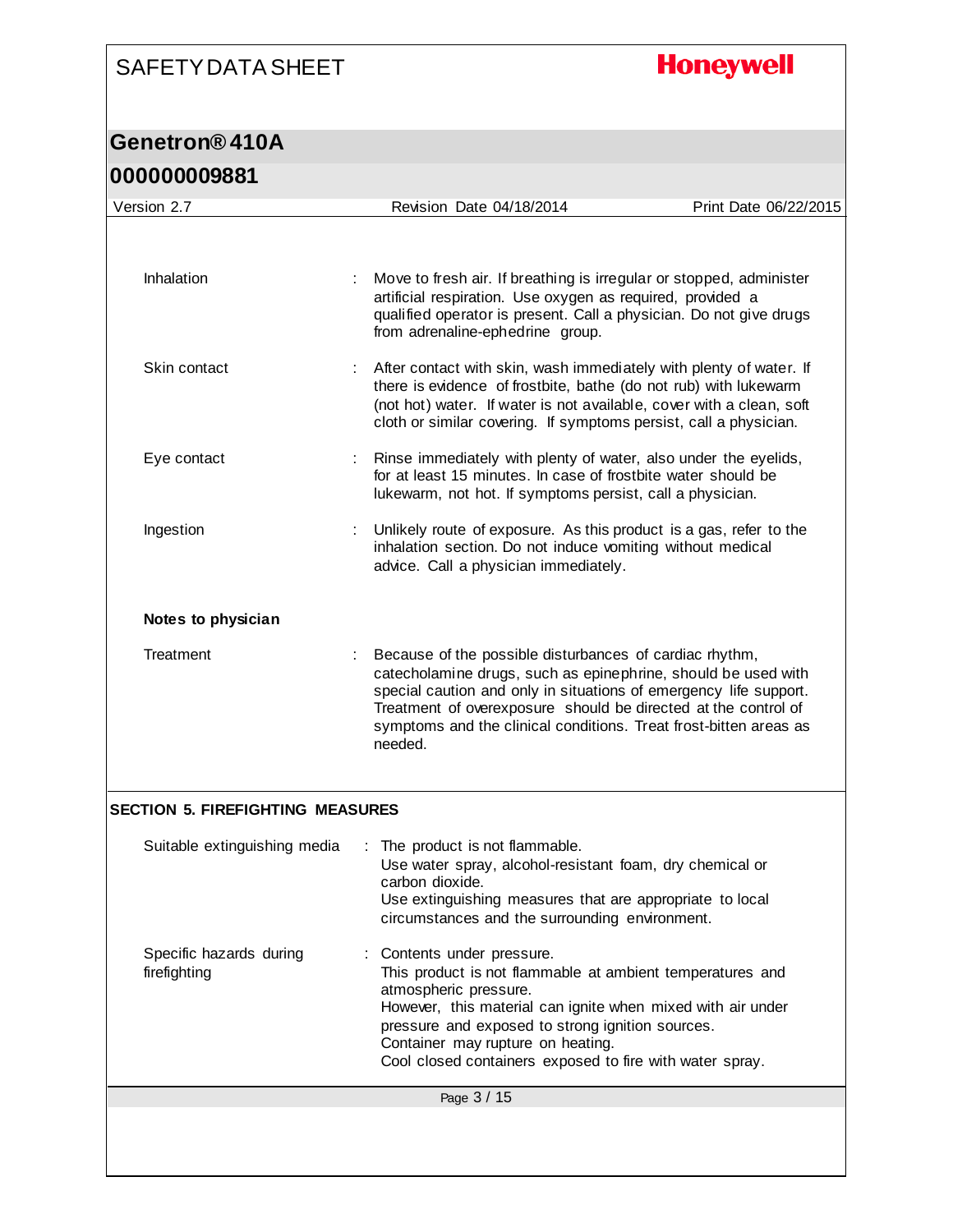# **Honeywell**

| <u>UUUUUUUJOO I</u>                     |                                                                                                                                                                                                                                                                                                                                                 |                       |
|-----------------------------------------|-------------------------------------------------------------------------------------------------------------------------------------------------------------------------------------------------------------------------------------------------------------------------------------------------------------------------------------------------|-----------------------|
| Version 2.7                             | Revision Date 04/18/2014                                                                                                                                                                                                                                                                                                                        | Print Date 06/22/2015 |
| Inhalation                              | Move to fresh air. If breathing is irregular or stopped, administer<br>artificial respiration. Use oxygen as required, provided a<br>qualified operator is present. Call a physician. Do not give drugs                                                                                                                                         |                       |
| Skin contact                            | from adrenaline-ephedrine group.<br>After contact with skin, wash immediately with plenty of water. If<br>there is evidence of frostbite, bathe (do not rub) with lukewarm<br>(not hot) water. If water is not available, cover with a clean, soft<br>cloth or similar covering. If symptoms persist, call a physician.                         |                       |
| Eye contact                             | Rinse immediately with plenty of water, also under the eyelids,<br>for at least 15 minutes. In case of frostbite water should be<br>lukewarm, not hot. If symptoms persist, call a physician.                                                                                                                                                   |                       |
| Ingestion                               | Unlikely route of exposure. As this product is a gas, refer to the<br>inhalation section. Do not induce vomiting without medical<br>advice. Call a physician immediately.                                                                                                                                                                       |                       |
| Notes to physician                      |                                                                                                                                                                                                                                                                                                                                                 |                       |
| Treatment                               | Because of the possible disturbances of cardiac rhythm,<br>catecholamine drugs, such as epinephrine, should be used with<br>special caution and only in situations of emergency life support.<br>Treatment of overexposure should be directed at the control of<br>symptoms and the clinical conditions. Treat frost-bitten areas as<br>needed. |                       |
| <b>SECTION 5. FIREFIGHTING MEASURES</b> |                                                                                                                                                                                                                                                                                                                                                 |                       |
| Suitable extinguishing media            | The product is not flammable.<br>Use water spray, alcohol-resistant foam, dry chemical or<br>carbon dioxide.<br>Use extinguishing measures that are appropriate to local<br>circumstances and the surrounding environment.                                                                                                                      |                       |
| Specific hazards during<br>firefighting | Contents under pressure.<br>This product is not flammable at ambient temperatures and<br>atmospheric pressure.<br>However, this material can ignite when mixed with air under<br>pressure and exposed to strong ignition sources.<br>Container may rupture on heating.<br>Cool closed containers exposed to fire with water spray.              |                       |
|                                         | Page 3 / 15                                                                                                                                                                                                                                                                                                                                     |                       |
|                                         |                                                                                                                                                                                                                                                                                                                                                 |                       |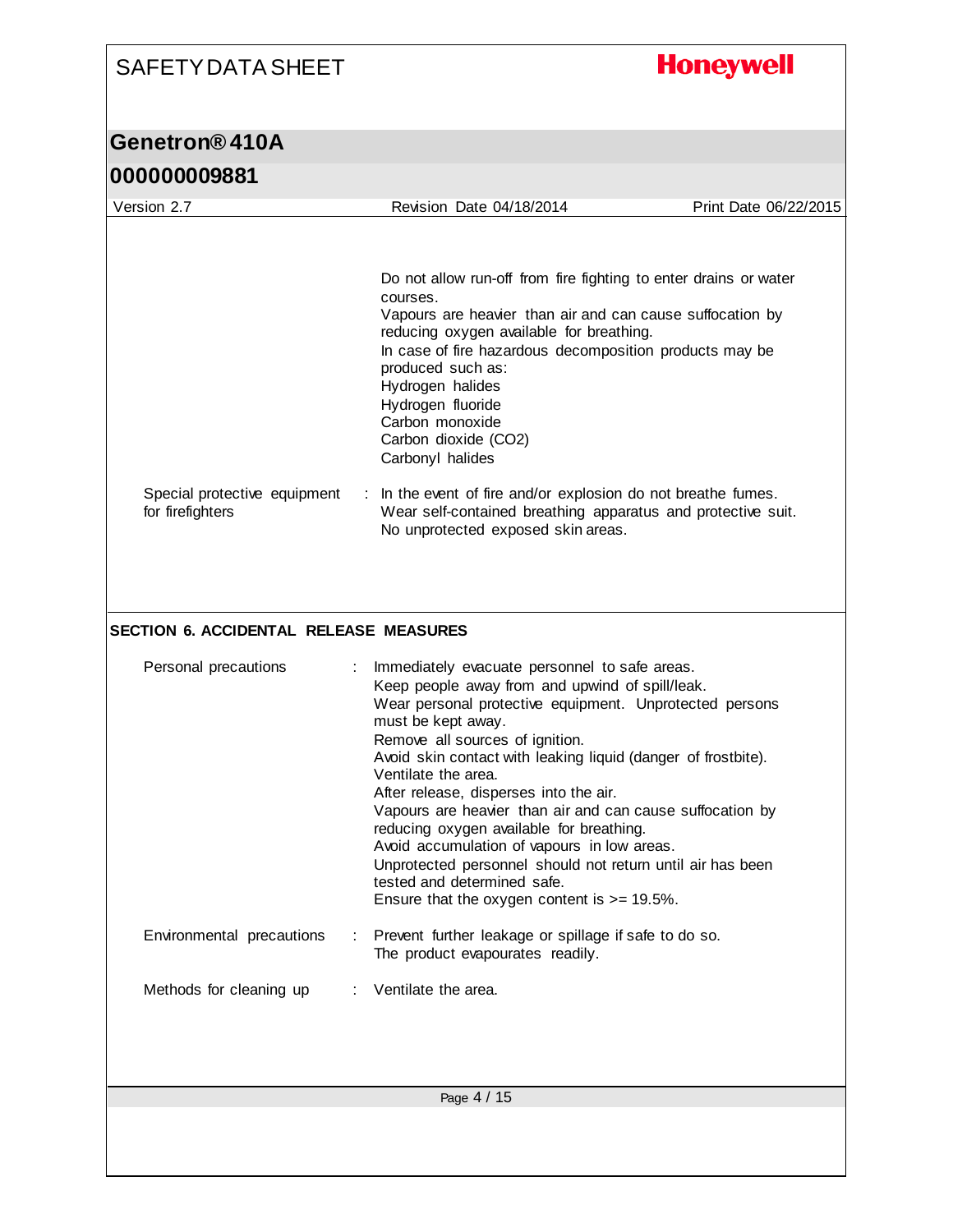### **Honeywell** SAFETY DATA SHEET **Genetron® 410A 000000009881** Version 2.7 Revision Date 04/18/2014 Print Date 06/22/2015 Do not allow run-off from fire fighting to enter drains or water courses. Vapours are heavier than air and can cause suffocation by reducing oxygen available for breathing. In case of fire hazardous decomposition products may be produced such as: Hydrogen halides Hydrogen fluoride Carbon monoxide Carbon dioxide (CO2) Carbonyl halides Special protective equipment : In the event of fire and/or explosion do not breathe fumes. for firefighters Wear self-contained breathing apparatus and protective suit. No unprotected exposed skin areas. **SECTION 6. ACCIDENTAL RELEASE MEASURES** Personal precautions : Immediately evacuate personnel to safe areas. Keep people away from and upwind of spill/leak. Wear personal protective equipment. Unprotected persons must be kept away. Remove all sources of ignition. Avoid skin contact with leaking liquid (danger of frostbite). Ventilate the area. After release, disperses into the air. Vapours are heavier than air and can cause suffocation by reducing oxygen available for breathing. Avoid accumulation of vapours in low areas. Unprotected personnel should not return until air has been tested and determined safe. Ensure that the oxygen content is >= 19.5%. Environmental precautions : Prevent further leakage or spillage if safe to do so. The product evapourates readily. Methods for cleaning up : Ventilate the area. Page 4 / 15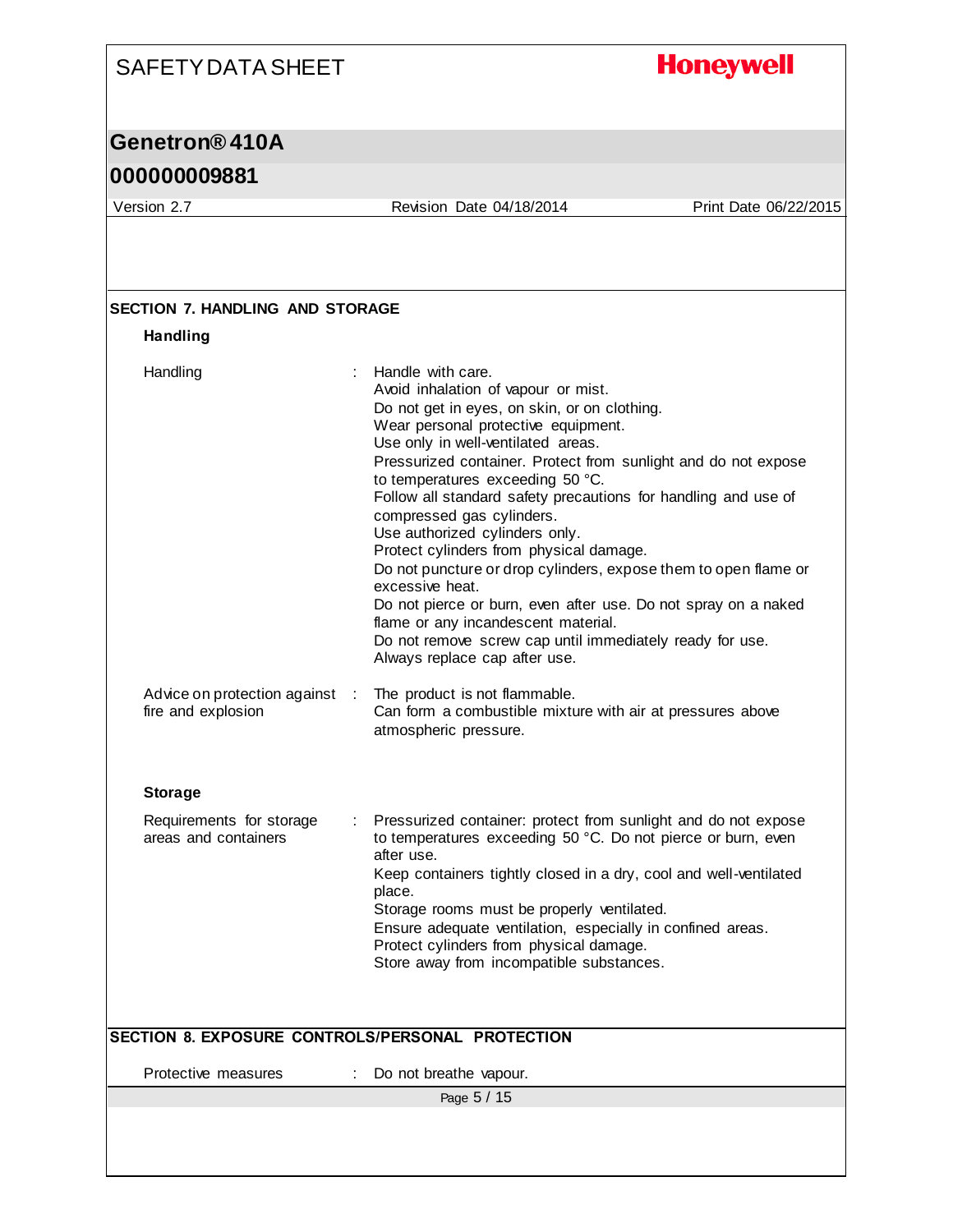# **Honeywell**

### **Genetron® 410A**

### **000000009881**

Version 2.7 Revision Date 04/18/2014 Print Date 06/22/2015

| <b>Handling</b>                                    |                                                                                                                                                                                                                                                                                                                                                                                                                                                                                                                                                                                                                                                                                                                                                                     |
|----------------------------------------------------|---------------------------------------------------------------------------------------------------------------------------------------------------------------------------------------------------------------------------------------------------------------------------------------------------------------------------------------------------------------------------------------------------------------------------------------------------------------------------------------------------------------------------------------------------------------------------------------------------------------------------------------------------------------------------------------------------------------------------------------------------------------------|
| Handling                                           | Handle with care.<br>Avoid inhalation of vapour or mist.<br>Do not get in eyes, on skin, or on clothing.<br>Wear personal protective equipment.<br>Use only in well-ventilated areas.<br>Pressurized container. Protect from sunlight and do not expose<br>to temperatures exceeding 50 °C.<br>Follow all standard safety precautions for handling and use of<br>compressed gas cylinders.<br>Use authorized cylinders only.<br>Protect cylinders from physical damage.<br>Do not puncture or drop cylinders, expose them to open flame or<br>excessive heat.<br>Do not pierce or burn, even after use. Do not spray on a naked<br>flame or any incandescent material.<br>Do not remove screw cap until immediately ready for use.<br>Always replace cap after use. |
| Advice on protection against<br>fire and explosion | The product is not flammable.<br>$\mathbb{R}$<br>Can form a combustible mixture with air at pressures above<br>atmospheric pressure.                                                                                                                                                                                                                                                                                                                                                                                                                                                                                                                                                                                                                                |
| <b>Storage</b>                                     |                                                                                                                                                                                                                                                                                                                                                                                                                                                                                                                                                                                                                                                                                                                                                                     |
| Requirements for storage<br>areas and containers   | Pressurized container: protect from sunlight and do not expose<br>to temperatures exceeding 50 °C. Do not pierce or burn, even<br>after use.<br>Keep containers tightly closed in a dry, cool and well-ventilated<br>place.<br>Storage rooms must be properly ventilated.<br>Ensure adequate ventilation, especially in confined areas.<br>Protect cylinders from physical damage.<br>Store away from incompatible substances.                                                                                                                                                                                                                                                                                                                                      |
|                                                    | SECTION 8. EXPOSURE CONTROLS/PERSONAL PROTECTION                                                                                                                                                                                                                                                                                                                                                                                                                                                                                                                                                                                                                                                                                                                    |
| Protective measures                                | Do not breathe vapour.                                                                                                                                                                                                                                                                                                                                                                                                                                                                                                                                                                                                                                                                                                                                              |
|                                                    | Page 5 / 15                                                                                                                                                                                                                                                                                                                                                                                                                                                                                                                                                                                                                                                                                                                                                         |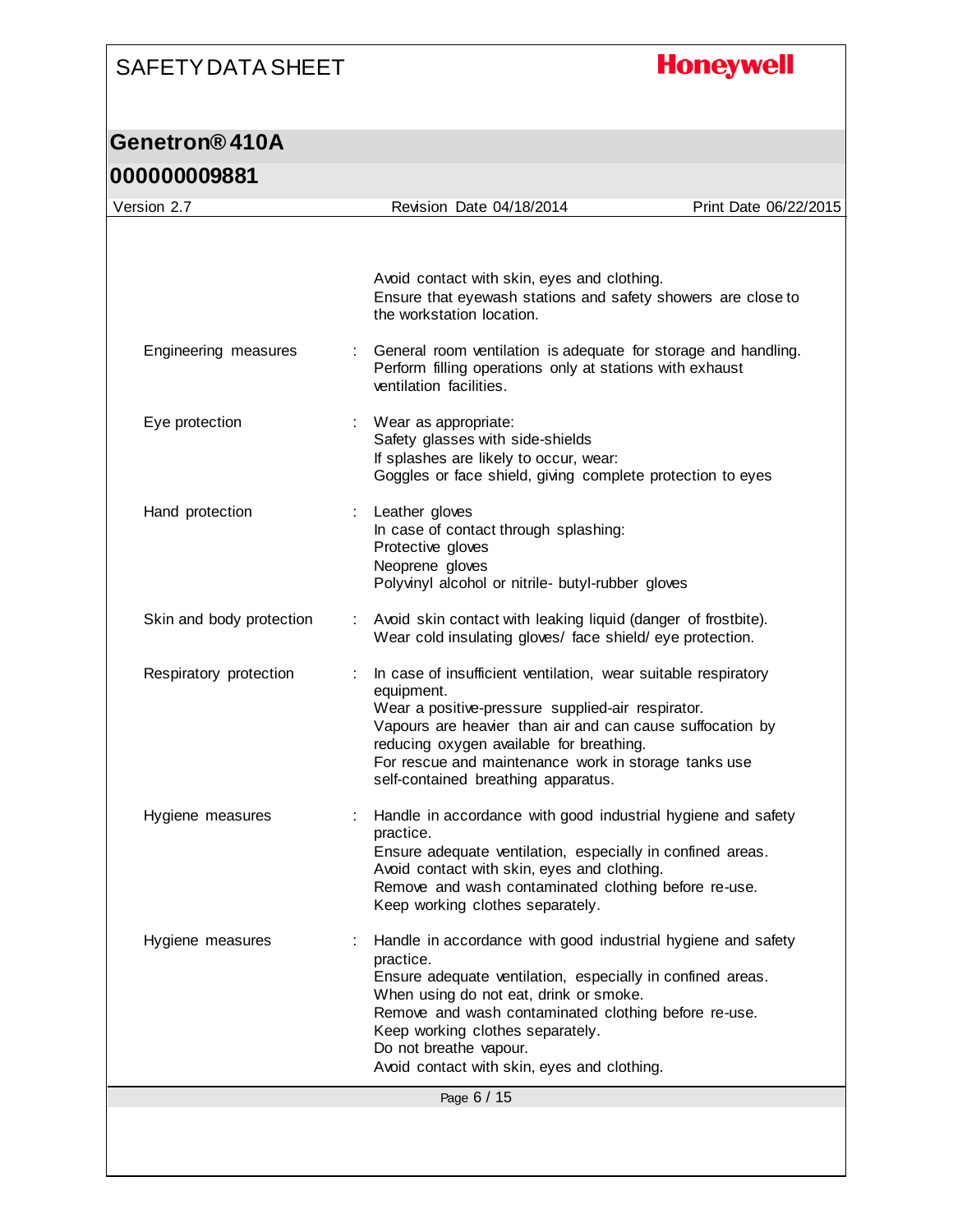# **Honeywell**

| 000000009881             |   |                                                                                                                                                                                                                                                                                                                                                        |                       |
|--------------------------|---|--------------------------------------------------------------------------------------------------------------------------------------------------------------------------------------------------------------------------------------------------------------------------------------------------------------------------------------------------------|-----------------------|
| Version 2.7              |   | Revision Date 04/18/2014                                                                                                                                                                                                                                                                                                                               | Print Date 06/22/2015 |
|                          |   | Avoid contact with skin, eyes and clothing.<br>Ensure that eyewash stations and safety showers are close to<br>the workstation location.                                                                                                                                                                                                               |                       |
| Engineering measures     |   | General room ventilation is adequate for storage and handling.<br>Perform filling operations only at stations with exhaust<br>ventilation facilities.                                                                                                                                                                                                  |                       |
| Eye protection           |   | : Wear as appropriate:<br>Safety glasses with side-shields<br>If splashes are likely to occur, wear:<br>Goggles or face shield, giving complete protection to eyes                                                                                                                                                                                     |                       |
| Hand protection          |   | Leather gloves<br>In case of contact through splashing:<br>Protective gloves<br>Neoprene gloves<br>Polyvinyl alcohol or nitrile- butyl-rubber gloves                                                                                                                                                                                                   |                       |
| Skin and body protection |   | Avoid skin contact with leaking liquid (danger of frostbite).<br>Wear cold insulating gloves/ face shield/ eye protection.                                                                                                                                                                                                                             |                       |
| Respiratory protection   |   | In case of insufficient ventilation, wear suitable respiratory<br>equipment.<br>Wear a positive-pressure supplied-air respirator.<br>Vapours are heavier than air and can cause suffocation by<br>reducing oxygen available for breathing.<br>For rescue and maintenance work in storage tanks use<br>self-contained breathing apparatus.              |                       |
| Hygiene measures         |   | Handle in accordance with good industrial hygiene and safety<br>practice.<br>Ensure adequate ventilation, especially in confined areas.<br>Avoid contact with skin, eyes and clothing.<br>Remove and wash contaminated clothing before re-use.<br>Keep working clothes separately.                                                                     |                       |
| Hygiene measures         | ÷ | Handle in accordance with good industrial hygiene and safety<br>practice.<br>Ensure adequate ventilation, especially in confined areas.<br>When using do not eat, drink or smoke.<br>Remove and wash contaminated clothing before re-use.<br>Keep working clothes separately.<br>Do not breathe vapour.<br>Avoid contact with skin, eyes and clothing. |                       |
|                          |   | Page 6 / 15                                                                                                                                                                                                                                                                                                                                            |                       |
|                          |   |                                                                                                                                                                                                                                                                                                                                                        |                       |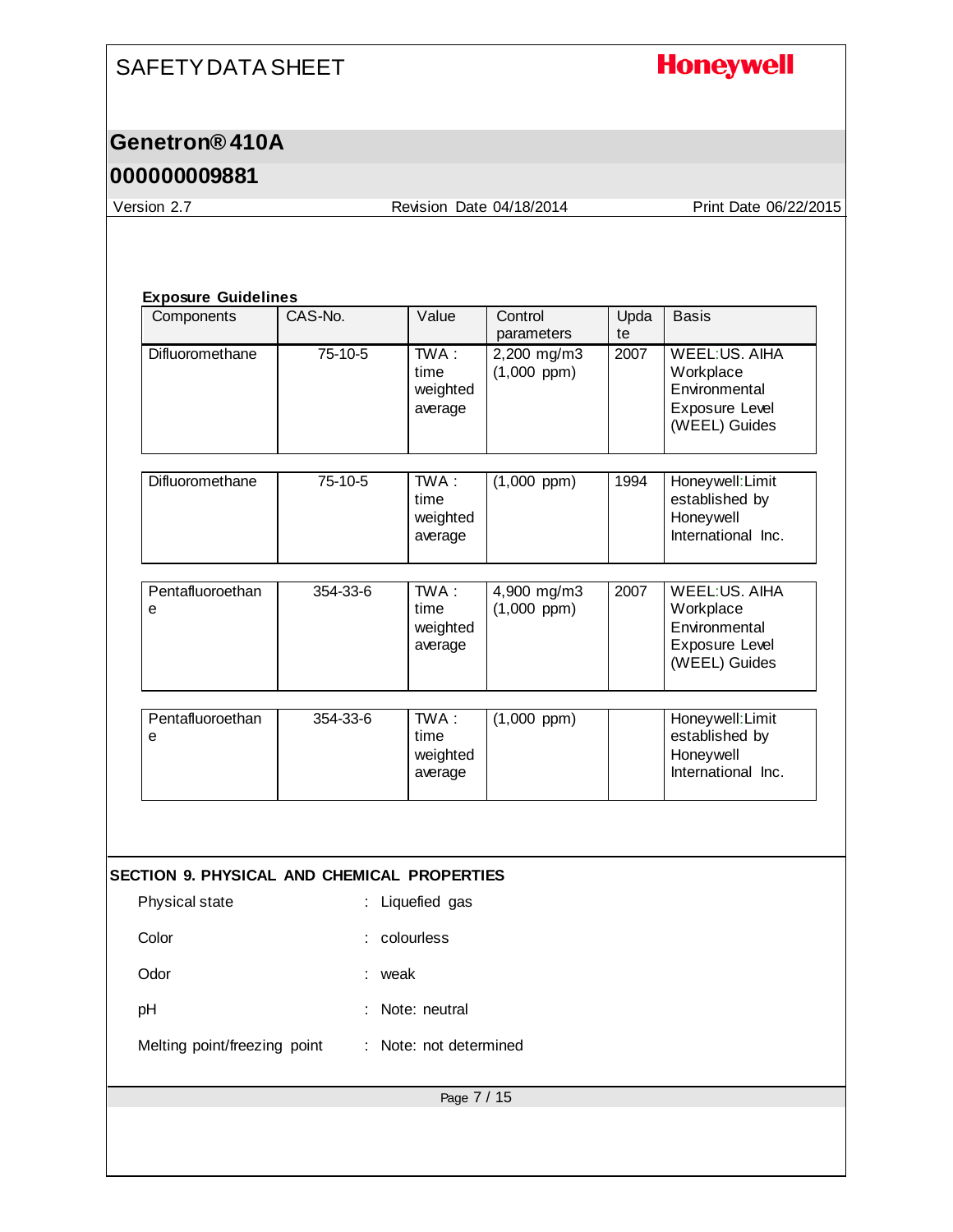# **Honeywell**

### **Genetron® 410A**

### **000000009881**

Version 2.7 Revision Date 04/18/2014 Print Date 06/22/2015

#### **Exposure Guidelines**

| Components                                  | CAS-No.  | Value                                   | Control<br>parameters           | Upda<br>te | <b>Basis</b>                                                                          |
|---------------------------------------------|----------|-----------------------------------------|---------------------------------|------------|---------------------------------------------------------------------------------------|
| Difluoromethane                             | 75-10-5  | TWA:<br>time<br>weighted<br>average     | 2,200 mg/m3<br>$(1,000$ ppm $)$ | 2007       | WEEL:US. AIHA<br>Workplace<br>Environmental<br>Exposure Level<br>(WEEL) Guides        |
| Difluoromethane                             | 75-10-5  | TWA:<br>time<br>weighted<br>average     | $(1,000$ ppm)                   | 1994       | Honeywell: Limit<br>established by<br>Honeywell<br>International Inc.                 |
| Pentafluoroethan<br>e                       | 354-33-6 | TWA:<br>time<br>weighted<br>average     | 4,900 mg/m3<br>$(1,000$ ppm $)$ | 2007       | <b>WEEL:US. AIHA</b><br>Workplace<br>Environmental<br>Exposure Level<br>(WEEL) Guides |
| Pentafluoroethan<br>е                       | 354-33-6 | TWA:<br>time<br>weighted<br>average     | $(1,000$ ppm $)$                |            | Honeywell: Limit<br>established by<br>Honeywell<br>International Inc.                 |
| SECTION 9. PHYSICAL AND CHEMICAL PROPERTIES |          |                                         |                                 |            |                                                                                       |
| Physical state<br>Color<br>Odor             |          | : Liquefied gas<br>: colourless<br>weak |                                 |            |                                                                                       |
| pH<br>Melting point/freezing point          |          | Note: neutral<br>: Note: not determined |                                 |            |                                                                                       |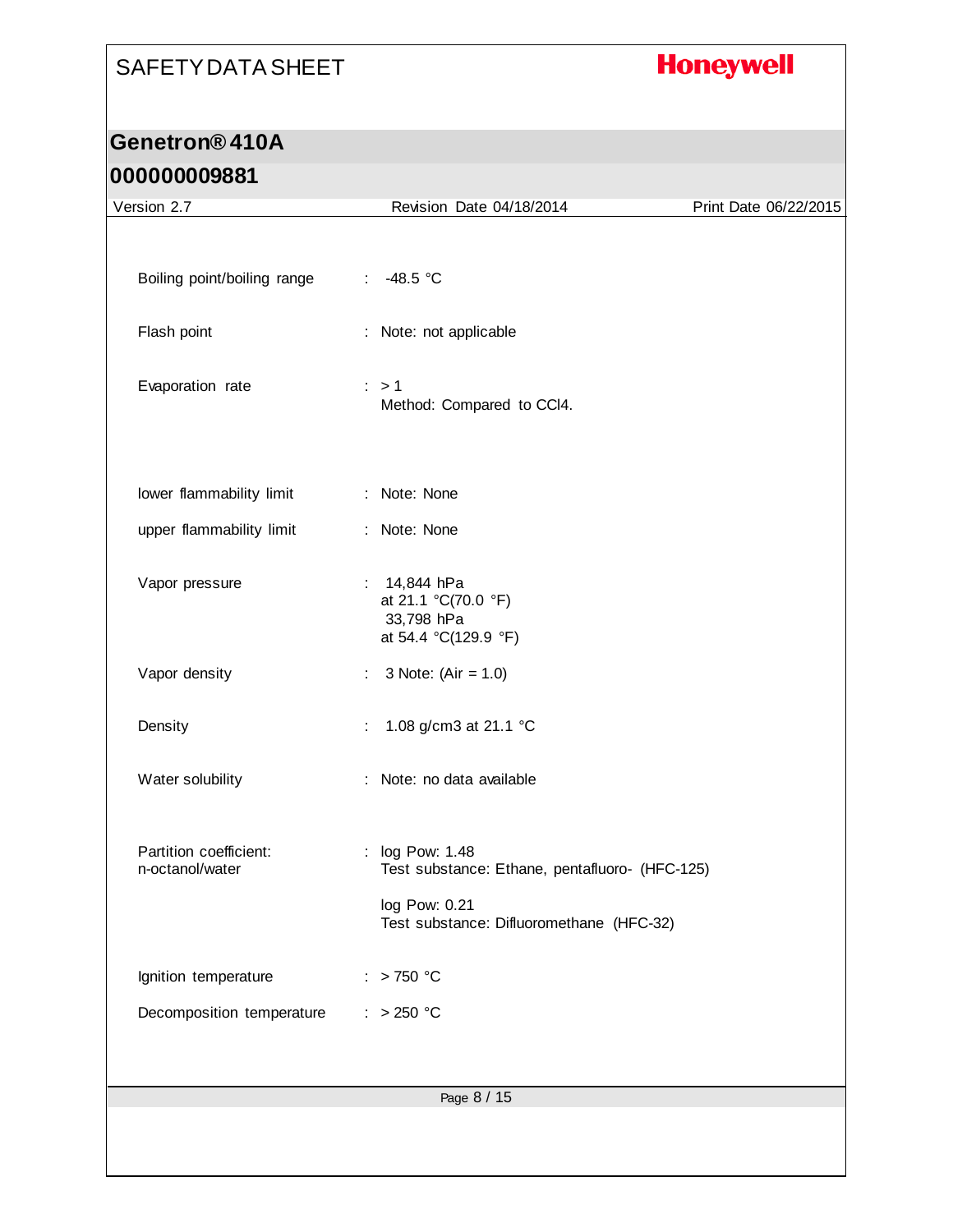# **Honeywell**

# **Genetron® 410A**

| Version 2.7                               | Revision Date 04/18/2014                                                                                                       | Print Date 06/22/2015 |
|-------------------------------------------|--------------------------------------------------------------------------------------------------------------------------------|-----------------------|
|                                           |                                                                                                                                |                       |
| Boiling point/boiling range               | -48.5 °C<br>$\mathbb{Z}^{\times}$                                                                                              |                       |
| Flash point                               | : Note: not applicable                                                                                                         |                       |
| Evaporation rate                          | $\therefore$ > 1<br>Method: Compared to CCI4.                                                                                  |                       |
| lower flammability limit                  | : Note: None                                                                                                                   |                       |
| upper flammability limit                  | : Note: None                                                                                                                   |                       |
| Vapor pressure                            | : 14,844 hPa<br>at 21.1 °C(70.0 °F)<br>33,798 hPa<br>at 54.4 °C(129.9 °F)                                                      |                       |
| Vapor density                             | 3 Note: $(Air = 1.0)$<br>÷                                                                                                     |                       |
| Density                                   | 1.08 g/cm3 at 21.1 °C<br>÷                                                                                                     |                       |
| Water solubility                          | : Note: no data available                                                                                                      |                       |
| Partition coefficient:<br>n-octanol/water | : log Pow: 1.48<br>Test substance: Ethane, pentafluoro- (HFC-125)<br>log Pow: 0.21<br>Test substance: Difluoromethane (HFC-32) |                       |
| Ignition temperature                      | > 750 °C                                                                                                                       |                       |
| Decomposition temperature                 | $: >250$ °C                                                                                                                    |                       |
|                                           |                                                                                                                                |                       |
|                                           | Page 8 / 15                                                                                                                    |                       |
|                                           |                                                                                                                                |                       |
|                                           |                                                                                                                                |                       |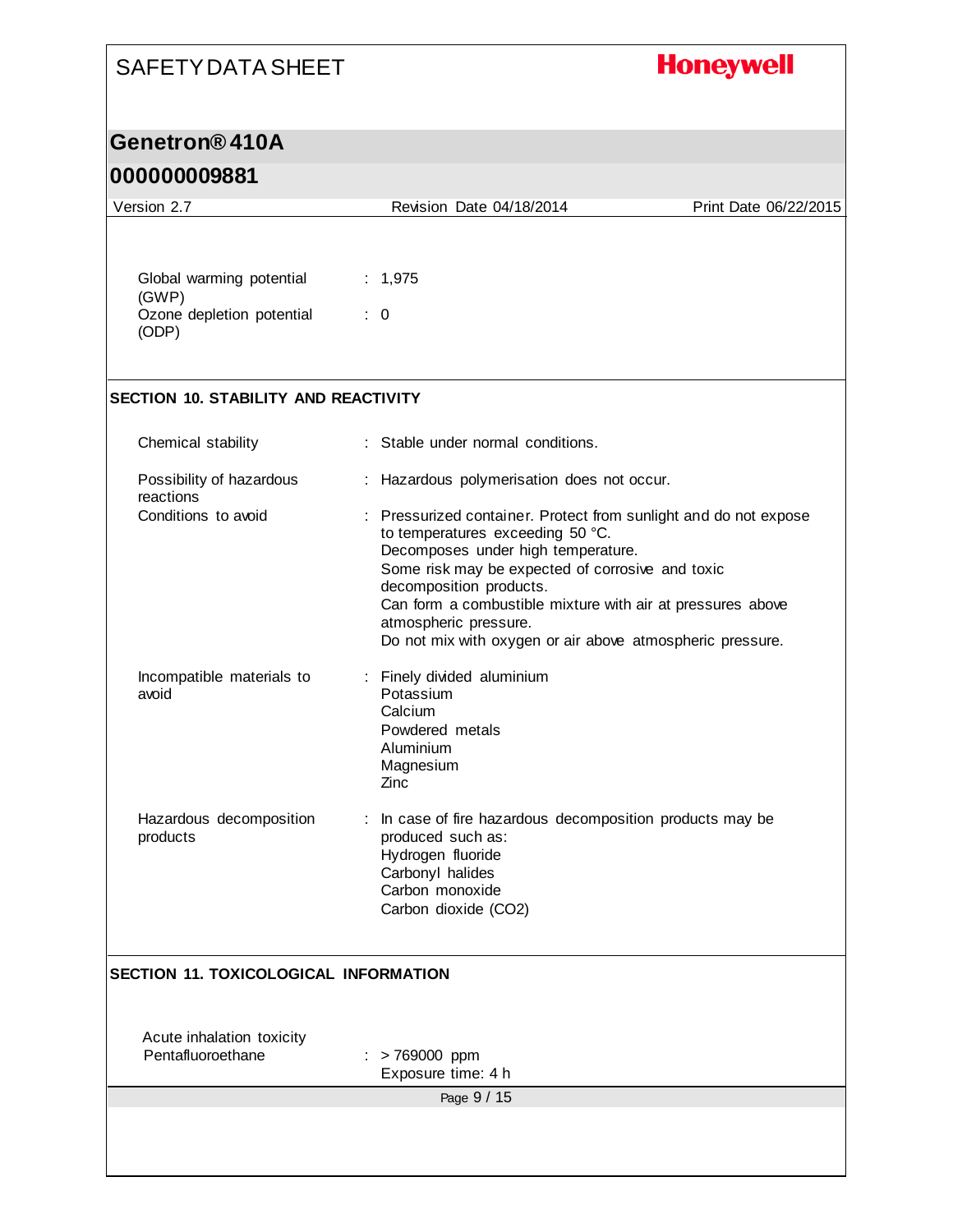# **Honeywell**

### **Genetron® 410A**

| Version 2.7                                    | Revision Date 04/18/2014                                                                                                                                                                                                                                                                                                                                                      | Print Date 06/22/2015 |
|------------------------------------------------|-------------------------------------------------------------------------------------------------------------------------------------------------------------------------------------------------------------------------------------------------------------------------------------------------------------------------------------------------------------------------------|-----------------------|
|                                                |                                                                                                                                                                                                                                                                                                                                                                               |                       |
| Global warming potential<br>(GWP)              | : 1,975                                                                                                                                                                                                                                                                                                                                                                       |                       |
| Ozone depletion potential<br>(ODP)             | $\therefore$ 0                                                                                                                                                                                                                                                                                                                                                                |                       |
| <b>SECTION 10. STABILITY AND REACTIVITY</b>    |                                                                                                                                                                                                                                                                                                                                                                               |                       |
| Chemical stability                             | : Stable under normal conditions.                                                                                                                                                                                                                                                                                                                                             |                       |
| Possibility of hazardous<br>reactions          | : Hazardous polymerisation does not occur.                                                                                                                                                                                                                                                                                                                                    |                       |
| Conditions to avoid                            | : Pressurized container. Protect from sunlight and do not expose<br>to temperatures exceeding 50 °C.<br>Decomposes under high temperature.<br>Some risk may be expected of corrosive and toxic<br>decomposition products.<br>Can form a combustible mixture with air at pressures above<br>atmospheric pressure.<br>Do not mix with oxygen or air above atmospheric pressure. |                       |
| Incompatible materials to<br>avoid             | : Finely divided aluminium<br>Potassium<br>Calcium<br>Powdered metals<br>Aluminium<br>Magnesium<br>Zinc                                                                                                                                                                                                                                                                       |                       |
| Hazardous decomposition<br>products            | : In case of fire hazardous decomposition products may be<br>produced such as:<br>Hydrogen fluoride<br>Carbonyl halides<br>Carbon monoxide<br>Carbon dioxide (CO2)                                                                                                                                                                                                            |                       |
| <b>SECTION 11. TOXICOLOGICAL INFORMATION</b>   |                                                                                                                                                                                                                                                                                                                                                                               |                       |
| Acute inhalation toxicity<br>Pentafluoroethane | $:$ > 769000 ppm<br>Exposure time: 4 h                                                                                                                                                                                                                                                                                                                                        |                       |
|                                                | Page 9 / 15                                                                                                                                                                                                                                                                                                                                                                   |                       |
|                                                |                                                                                                                                                                                                                                                                                                                                                                               |                       |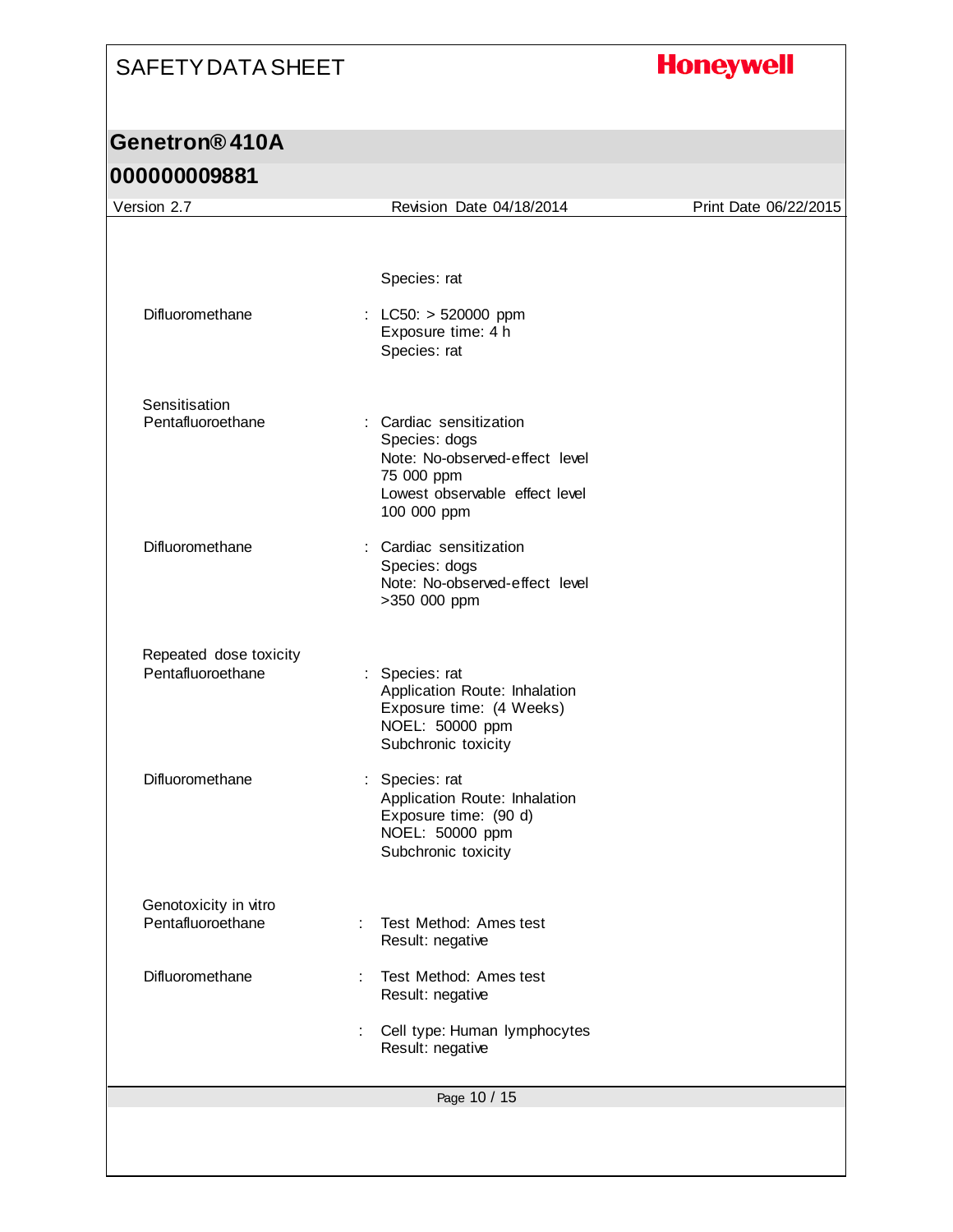# **Honeywell**

| Version 2.7                        | Revision Date 04/18/2014                                                                                                                  | Print Date 06/22/2015 |
|------------------------------------|-------------------------------------------------------------------------------------------------------------------------------------------|-----------------------|
|                                    |                                                                                                                                           |                       |
|                                    | Species: rat                                                                                                                              |                       |
| Difluoromethane                    | : LC50: $> 520000$ ppm<br>Exposure time: 4 h<br>Species: rat                                                                              |                       |
| Sensitisation<br>Pentafluoroethane | : Cardiac sensitization<br>Species: dogs<br>Note: No-observed-effect level<br>75 000 ppm<br>Lowest observable effect level<br>100 000 ppm |                       |
| Difluoromethane                    | : Cardiac sensitization<br>Species: dogs<br>Note: No-observed-effect level<br>>350 000 ppm                                                |                       |
| Repeated dose toxicity             |                                                                                                                                           |                       |
| Pentafluoroethane                  | : Species: rat<br>Application Route: Inhalation<br>Exposure time: (4 Weeks)<br>NOEL: 50000 ppm<br>Subchronic toxicity                     |                       |
| Difluoromethane                    | : Species: rat<br>Application Route: Inhalation<br>Exposure time: (90 d)<br>NOEL: 50000 ppm<br>Subchronic toxicity                        |                       |
| Genotoxicity in vitro              |                                                                                                                                           |                       |
| Pentafluoroethane                  | Test Method: Ames test<br>÷<br>Result: negative                                                                                           |                       |
| Difluoromethane                    | Test Method: Ames test<br>÷<br>Result: negative                                                                                           |                       |
|                                    | Cell type: Human lymphocytes<br>Result: negative                                                                                          |                       |
|                                    | Page 10 / 15                                                                                                                              |                       |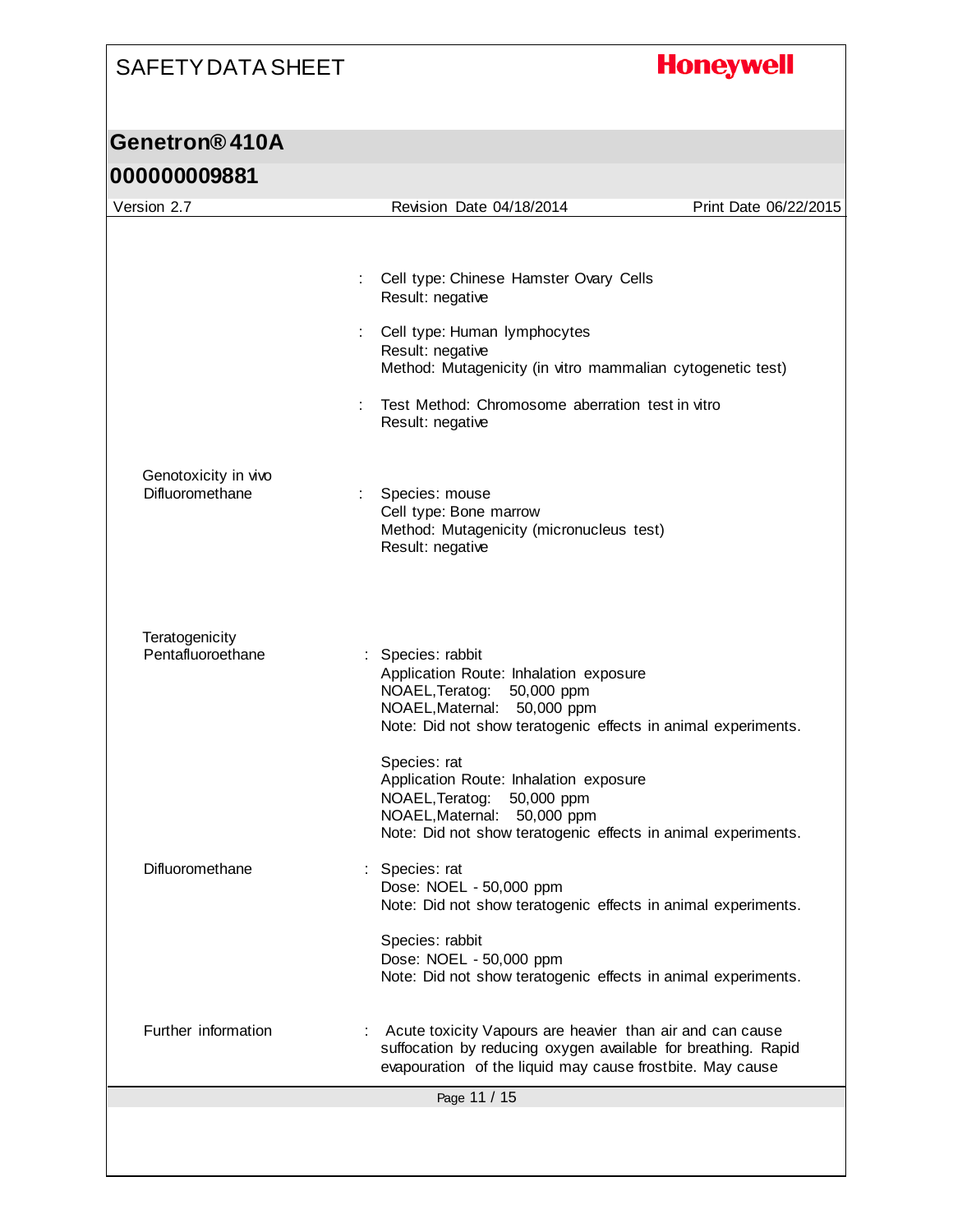# **Honeywell**

| Version 2.7                         | Revision Date 04/18/2014                                                                                               | Print Date 06/22/2015                                                                                                                                                                   |
|-------------------------------------|------------------------------------------------------------------------------------------------------------------------|-----------------------------------------------------------------------------------------------------------------------------------------------------------------------------------------|
|                                     |                                                                                                                        |                                                                                                                                                                                         |
|                                     | Cell type: Chinese Hamster Ovary Cells<br>÷<br>Result: negative                                                        |                                                                                                                                                                                         |
|                                     | Cell type: Human lymphocytes<br>Result: negative                                                                       | Method: Mutagenicity (in vitro mammalian cytogenetic test)                                                                                                                              |
|                                     | Test Method: Chromosome aberration test in vitro<br>Result: negative                                                   |                                                                                                                                                                                         |
| Genotoxicity in vivo                |                                                                                                                        |                                                                                                                                                                                         |
| Difluoromethane                     | Species: mouse<br>Cell type: Bone marrow<br>Method: Mutagenicity (micronucleus test)<br>Result: negative               |                                                                                                                                                                                         |
| Teratogenicity<br>Pentafluoroethane | : Species: rabbit<br>Application Route: Inhalation exposure                                                            |                                                                                                                                                                                         |
|                                     | NOAEL, Teratog: 50,000 ppm<br>NOAEL, Maternal: 50,000 ppm                                                              | Note: Did not show teratogenic effects in animal experiments.                                                                                                                           |
|                                     | Species: rat<br>Application Route: Inhalation exposure<br>NOAEL, Teratog:<br>50,000 ppm<br>NOAEL, Maternal: 50,000 ppm | Note: Did not show teratogenic effects in animal experiments.                                                                                                                           |
| Difluoromethane                     | Species: rat<br>Dose: NOEL - 50,000 ppm                                                                                | Note: Did not show teratogenic effects in animal experiments.                                                                                                                           |
|                                     | Species: rabbit<br>Dose: NOEL - 50,000 ppm                                                                             | Note: Did not show teratogenic effects in animal experiments.                                                                                                                           |
| Further information                 |                                                                                                                        | Acute toxicity Vapours are heavier than air and can cause<br>suffocation by reducing oxygen available for breathing. Rapid<br>evapouration of the liquid may cause frostbite. May cause |
|                                     | Page 11 / 15                                                                                                           |                                                                                                                                                                                         |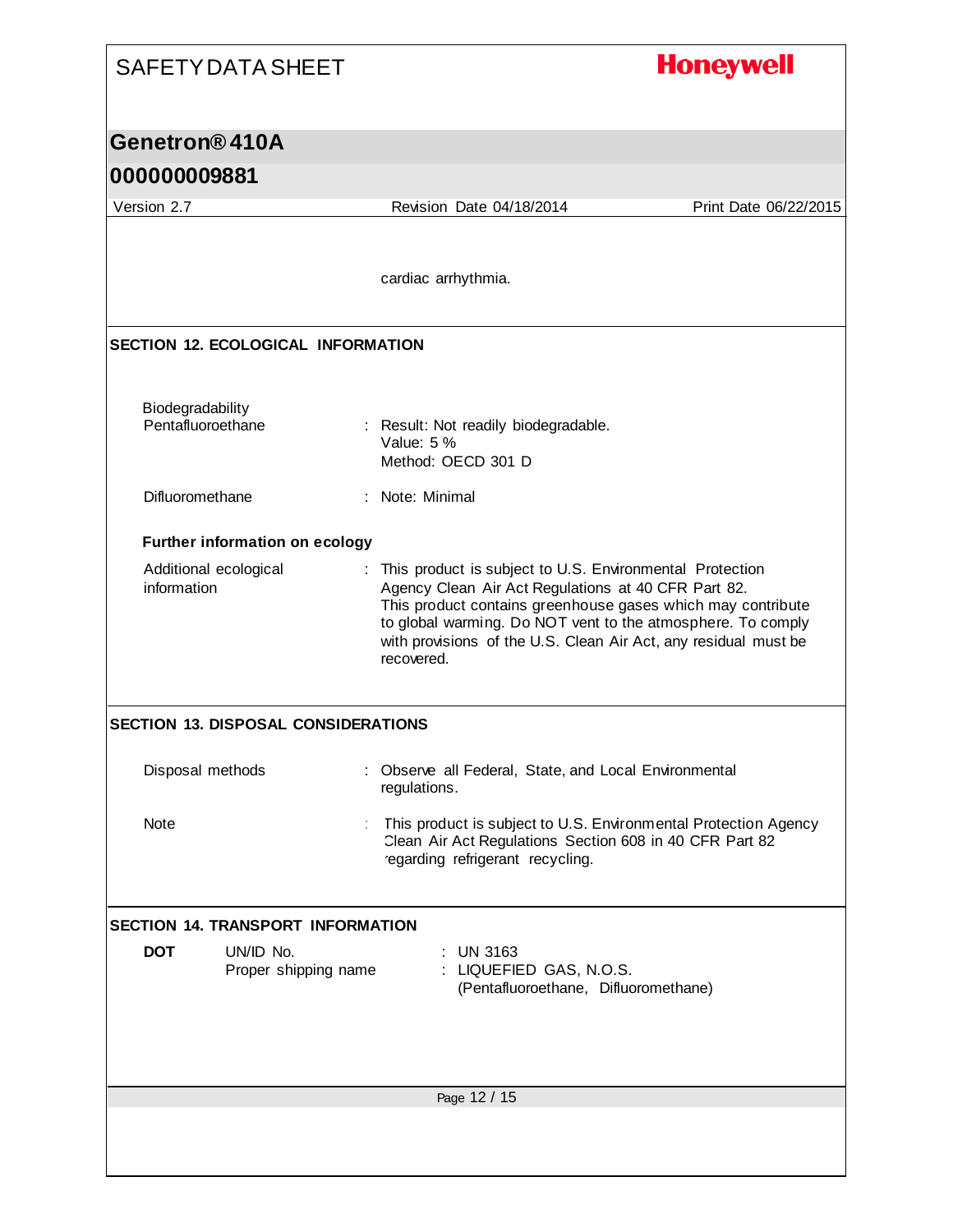#### **Honeywell**

#### **Genetron® 410A**

#### **000000009881**

Page 12 / 15 Version 2.7 Revision Date 04/18/2014 Print Date 06/22/2015 cardiac arrhythmia. **SECTION 12. ECOLOGICAL INFORMATION** Biodegradability Pentafluoroethane : Result: Not readily biodegradable. Value: 5 % Method: OECD 301 D Difluoromethane : Note: Minimal **Further information on ecology** Additional ecological information : This product is subject to U.S. Environmental Protection Agency Clean Air Act Regulations at 40 CFR Part 82. This product contains greenhouse gases which may contribute to global warming. Do NOT vent to the atmosphere. To comply with provisions of the U.S. Clean Air Act, any residual must be recovered. **SECTION 13. DISPOSAL CONSIDERATIONS** Disposal methods : Observe all Federal, State, and Local Environmental regulations. Note **included in the State of This product is subject to U.S. Environmental Protection Agency** Clean Air Act Regulations Section 608 in 40 CFR Part 82 regarding refrigerant recycling. **SECTION 14. TRANSPORT INFORMATION DOT** UN/ID No. : UN 3163 Proper shipping name : LIQUEFIED GAS, N.O.S. (Pentafluoroethane, Difluoromethane)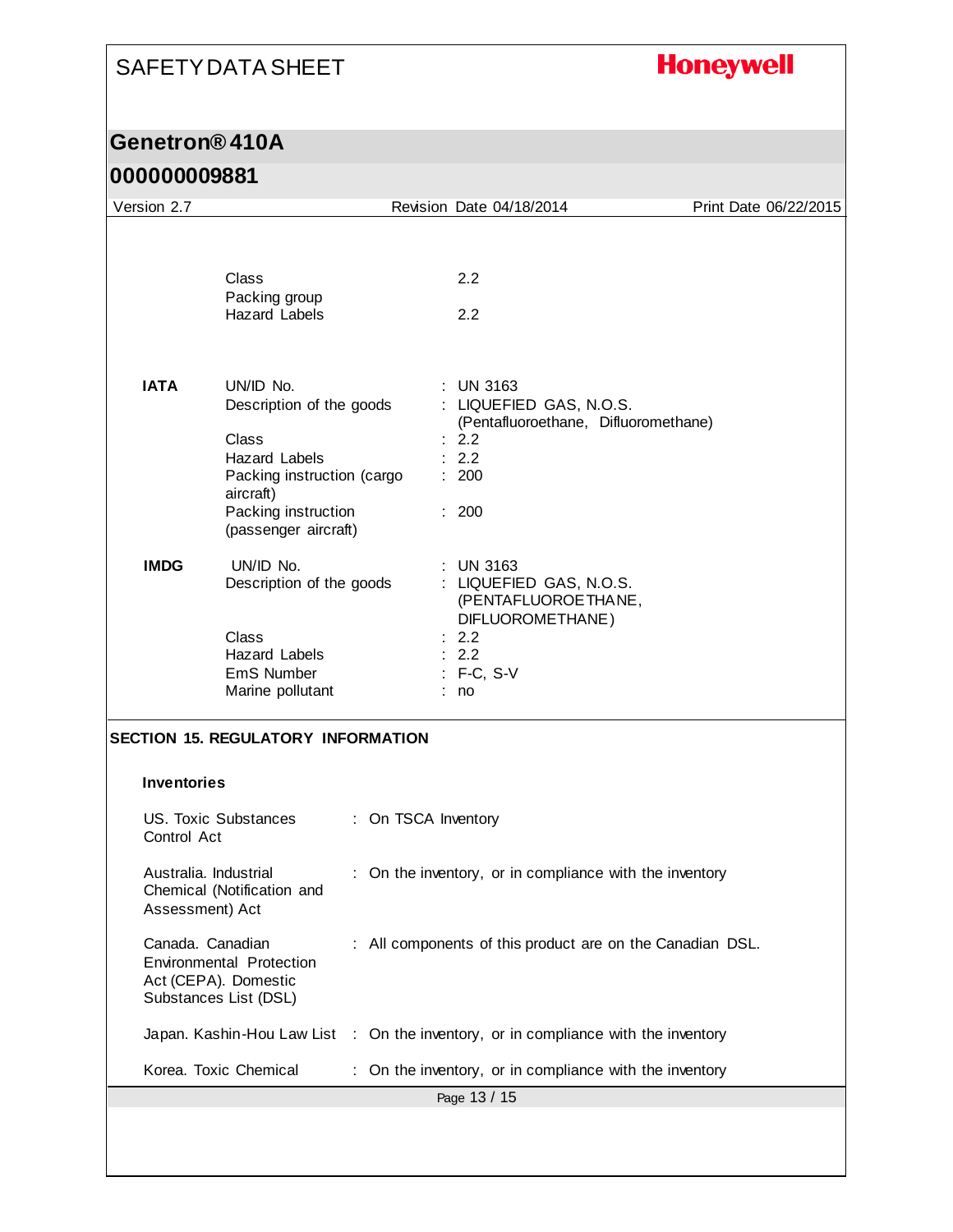# **Honeywell**

### **Genetron® 410A**

| Version 2.7                                                       |                                                                                                                                                                  |                     | Revision Date 04/18/2014                                                                                                     | Print Date 06/22/2015 |
|-------------------------------------------------------------------|------------------------------------------------------------------------------------------------------------------------------------------------------------------|---------------------|------------------------------------------------------------------------------------------------------------------------------|-----------------------|
|                                                                   | Class<br>Packing group<br><b>Hazard Labels</b>                                                                                                                   |                     | 2.2<br>2.2                                                                                                                   |                       |
| <b>IATA</b>                                                       | UN/ID No.<br>Description of the goods<br>Class<br><b>Hazard Labels</b><br>Packing instruction (cargo<br>aircraft)<br>Packing instruction<br>(passenger aircraft) |                     | UN 3163<br>: LIQUEFIED GAS, N.O.S.<br>(Pentafluoroethane, Difluoromethane)<br>: 2.2<br>: 2.2<br>: 200<br>: 200               |                       |
| <b>IMDG</b>                                                       | UN/ID No.<br>Description of the goods<br>Class<br><b>Hazard Labels</b><br>EmS Number<br>Marine pollutant                                                         |                     | <b>UN 3163</b><br>: LIQUEFIED GAS, N.O.S.<br>(PENTAFLUOROETHANE,<br>DIFLUOROMETHANE)<br>2.2<br>: 2.2<br>$: F-C, S-V$<br>: no |                       |
|                                                                   | <b>SECTION 15. REGULATORY INFORMATION</b>                                                                                                                        |                     |                                                                                                                              |                       |
| <b>Inventories</b>                                                |                                                                                                                                                                  |                     |                                                                                                                              |                       |
| Control Act                                                       | US. Toxic Substances                                                                                                                                             | : On TSCA Inventory |                                                                                                                              |                       |
| Australia. Industrial<br>Assessment) Act                          | Chemical (Notification and                                                                                                                                       |                     | : On the inventory, or in compliance with the inventory                                                                      |                       |
| Canada. Canadian<br>Act (CEPA). Domestic<br>Substances List (DSL) | <b>Environmental Protection</b>                                                                                                                                  |                     | : All components of this product are on the Canadian DSL.                                                                    |                       |
|                                                                   |                                                                                                                                                                  |                     | Japan. Kashin-Hou Law List : On the inventory, or in compliance with the inventory                                           |                       |
|                                                                   | Korea. Toxic Chemical                                                                                                                                            |                     | On the inventory, or in compliance with the inventory                                                                        |                       |
|                                                                   |                                                                                                                                                                  |                     | Page 13 / 15                                                                                                                 |                       |
|                                                                   |                                                                                                                                                                  |                     |                                                                                                                              |                       |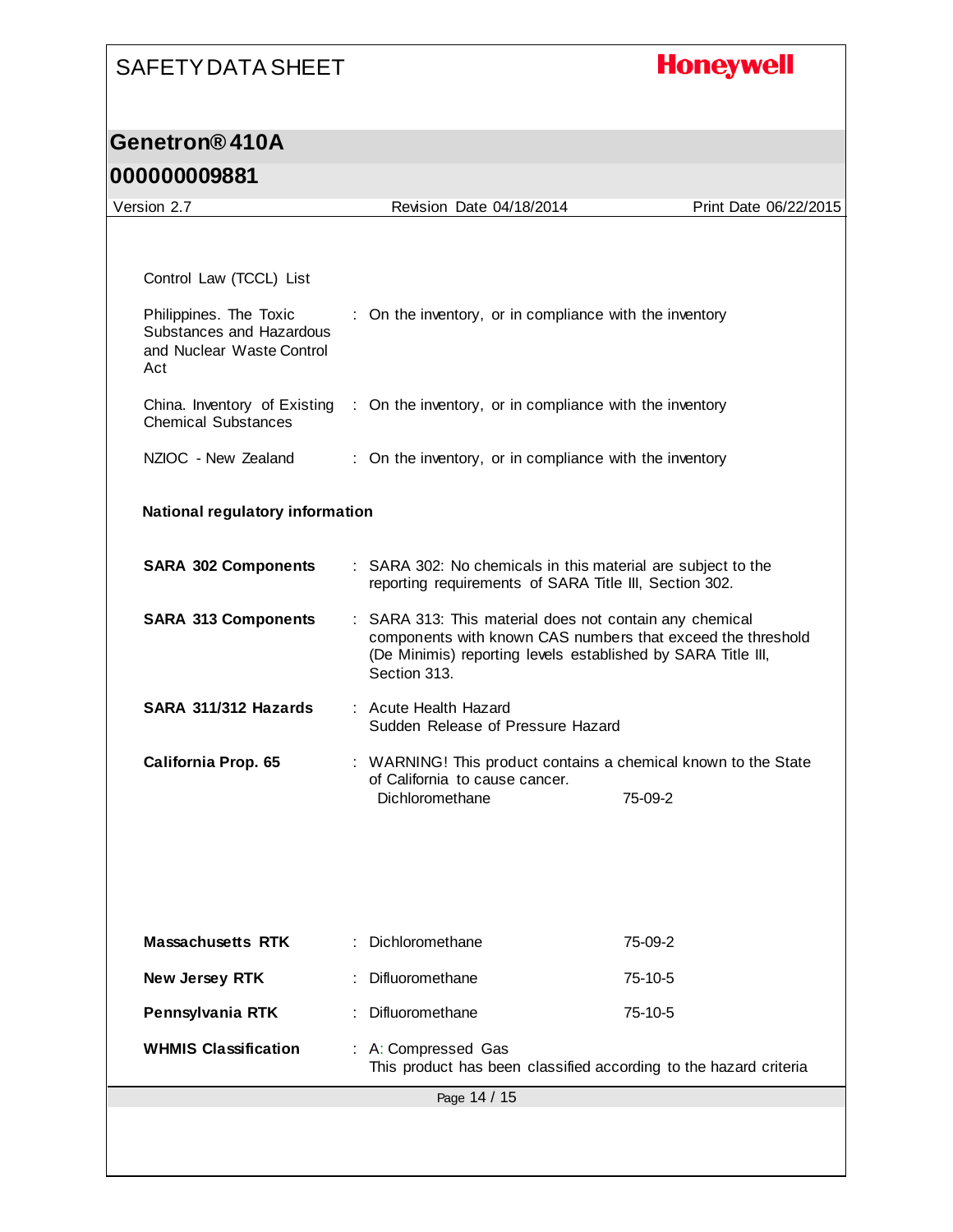# **Honeywell**

# **Genetron® 410A**

| Version 2.7                                                                            | Revision Date 04/18/2014                                                                                                                                                                               | Print Date 06/22/2015 |
|----------------------------------------------------------------------------------------|--------------------------------------------------------------------------------------------------------------------------------------------------------------------------------------------------------|-----------------------|
|                                                                                        |                                                                                                                                                                                                        |                       |
| Control Law (TCCL) List                                                                |                                                                                                                                                                                                        |                       |
|                                                                                        |                                                                                                                                                                                                        |                       |
| Philippines. The Toxic<br>Substances and Hazardous<br>and Nuclear Waste Control<br>Act | : On the inventory, or in compliance with the inventory                                                                                                                                                |                       |
| China. Inventory of Existing<br><b>Chemical Substances</b>                             | : On the inventory, or in compliance with the inventory                                                                                                                                                |                       |
| NZIOC - New Zealand                                                                    | : On the inventory, or in compliance with the inventory                                                                                                                                                |                       |
| <b>National regulatory information</b>                                                 |                                                                                                                                                                                                        |                       |
| <b>SARA 302 Components</b>                                                             | : SARA 302: No chemicals in this material are subject to the<br>reporting requirements of SARA Title III, Section 302.                                                                                 |                       |
| <b>SARA 313 Components</b>                                                             | : SARA 313: This material does not contain any chemical<br>components with known CAS numbers that exceed the threshold<br>(De Minimis) reporting levels established by SARA Title III,<br>Section 313. |                       |
| SARA 311/312 Hazards                                                                   | : Acute Health Hazard<br>Sudden Release of Pressure Hazard                                                                                                                                             |                       |
| California Prop. 65                                                                    | : WARNING! This product contains a chemical known to the State                                                                                                                                         |                       |
|                                                                                        | of California to cause cancer.<br>Dichloromethane                                                                                                                                                      | 75-09-2               |
|                                                                                        |                                                                                                                                                                                                        |                       |
|                                                                                        |                                                                                                                                                                                                        |                       |
| <b>Massachusetts RTK</b>                                                               | : Dichloromethane                                                                                                                                                                                      | 75-09-2               |
| New Jersey RTK                                                                         | Difluoromethane                                                                                                                                                                                        | 75-10-5               |
| Pennsylvania RTK                                                                       | Difluoromethane                                                                                                                                                                                        | 75-10-5               |
| <b>WHMIS Classification</b>                                                            | : A: Compressed Gas<br>This product has been classified according to the hazard criteria                                                                                                               |                       |
|                                                                                        | Page 14 / 15                                                                                                                                                                                           |                       |
|                                                                                        |                                                                                                                                                                                                        |                       |
|                                                                                        |                                                                                                                                                                                                        |                       |